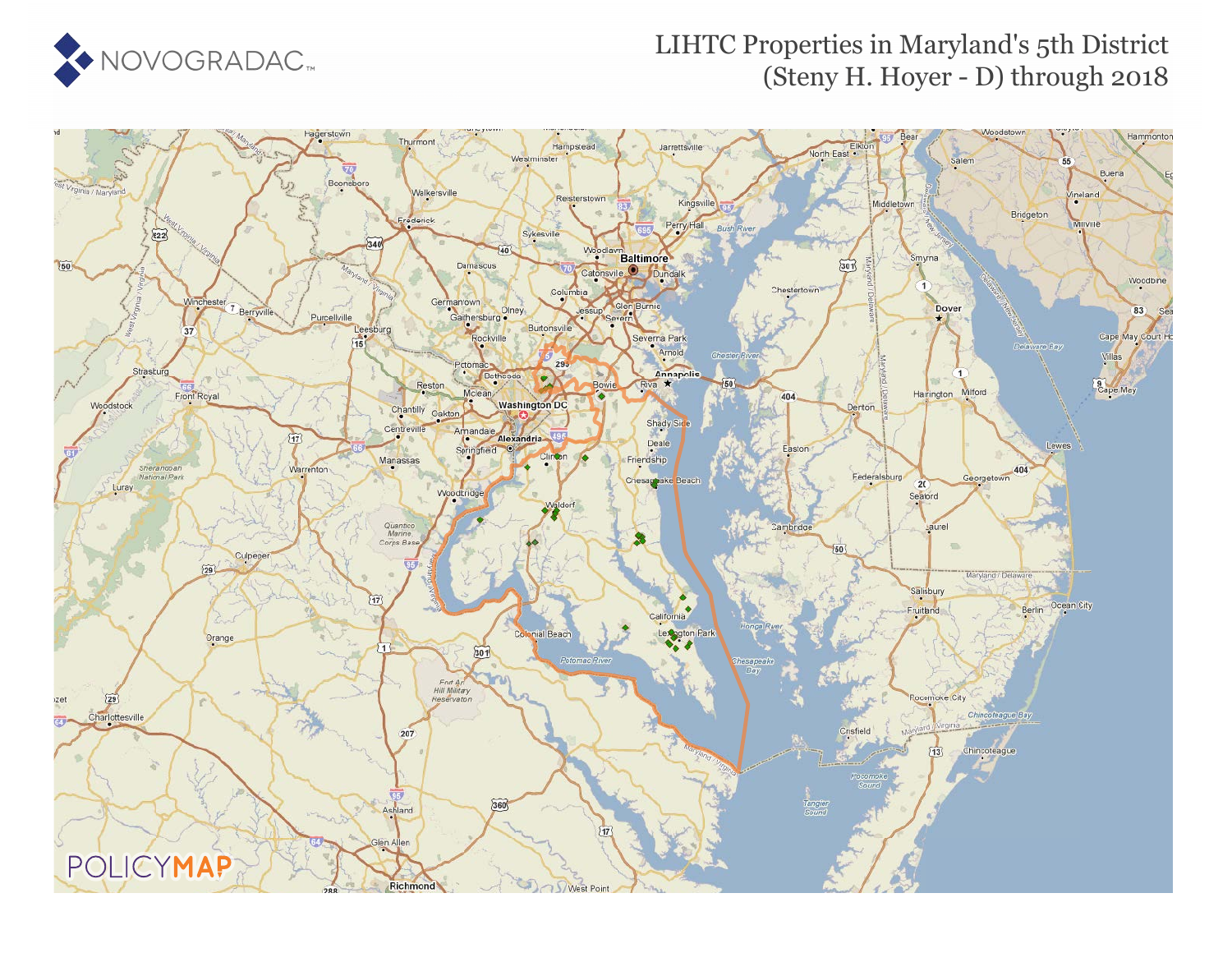

## LIHTC Properties in Maryland's 5th District (Steny H. Hoyer - D) through 2018

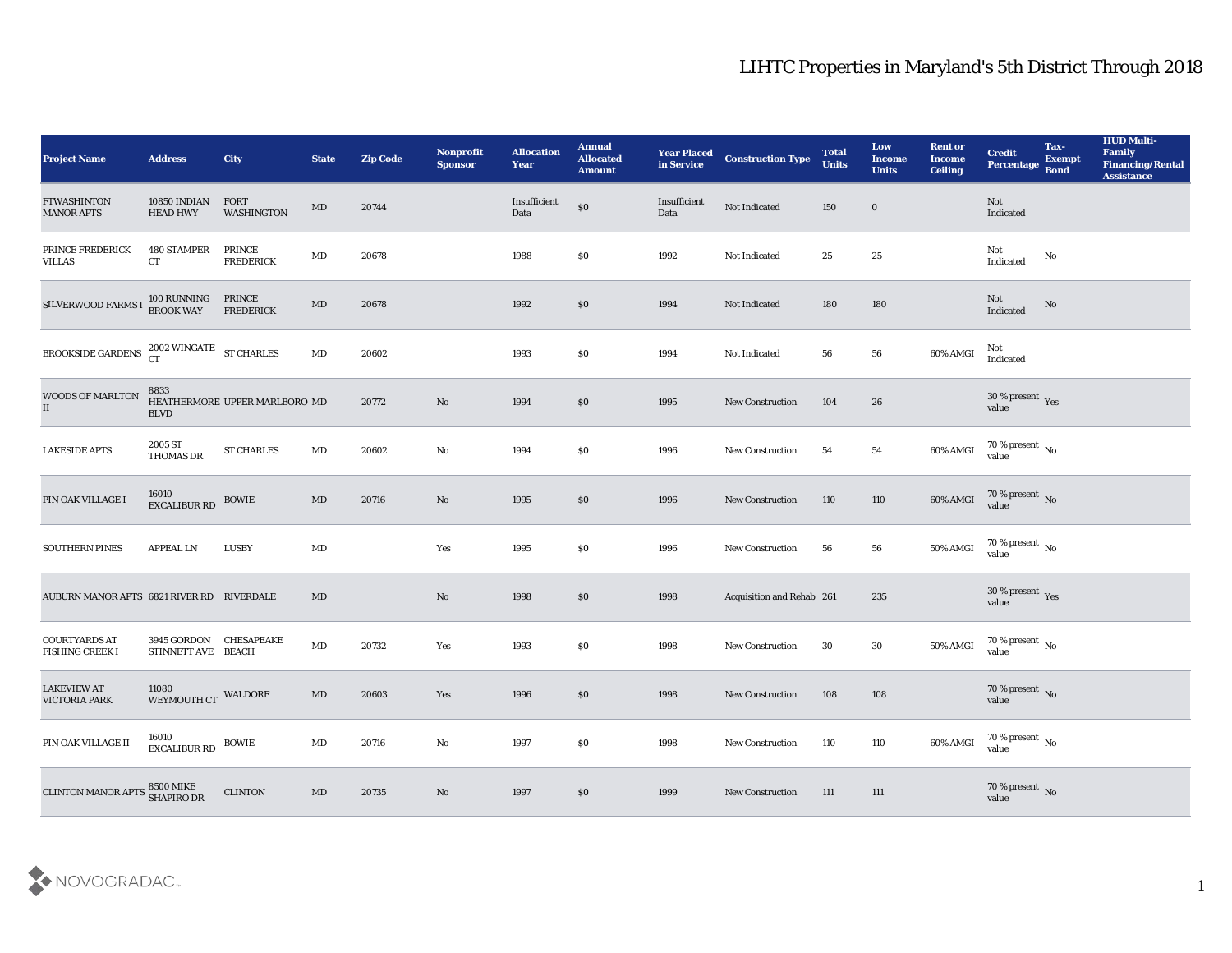## LIHTC Properties in Maryland's 5th District Through 2018

| <b>Project Name</b>                            | <b>Address</b>                                  | City                          | <b>State</b>           | <b>Zip Code</b> | Nonprofit<br><b>Sponsor</b> | <b>Allocation</b><br><b>Year</b> | <b>Annual</b><br><b>Allocated</b><br><b>Amount</b> | <b>Year Placed<br/>in Service</b> | <b>Construction Type</b>  | <b>Total</b><br><b>Units</b> | Low<br><b>Income</b><br><b>Units</b> | <b>Rent or</b><br><b>Income</b><br><b>Ceiling</b> | <b>Credit</b><br>Percentage       | Tax-<br><b>Exempt</b><br><b>Bond</b> | <b>HUD Multi-</b><br>Family<br><b>Financing/Rental</b><br><b>Assistance</b> |
|------------------------------------------------|-------------------------------------------------|-------------------------------|------------------------|-----------------|-----------------------------|----------------------------------|----------------------------------------------------|-----------------------------------|---------------------------|------------------------------|--------------------------------------|---------------------------------------------------|-----------------------------------|--------------------------------------|-----------------------------------------------------------------------------|
| <b>FTWASHINTON</b><br><b>MANOR APTS</b>        | 10850 INDIAN<br><b>HEAD HWY</b>                 | FORT<br><b>WASHINGTON</b>     | MD                     | 20744           |                             | Insufficient<br>Data             | $\$0$                                              | Insufficient<br>Data              | Not Indicated             | 150                          | $\bf{0}$                             |                                                   | Not<br>Indicated                  |                                      |                                                                             |
| PRINCE FREDERICK<br><b>VILLAS</b>              | <b>480 STAMPER</b><br>CT                        | PRINCE<br><b>FREDERICK</b>    | $\mathbf{M}\mathbf{D}$ | 20678           |                             | 1988                             | \$0                                                | 1992                              | Not Indicated             | 25                           | 25                                   |                                                   | Not<br>Indicated                  | No                                   |                                                                             |
| SILVERWOOD FARMS I                             | 100 RUNNING<br><b>BROOK WAY</b>                 | PRINCE<br><b>FREDERICK</b>    | $\mathbf{M}\mathbf{D}$ | 20678           |                             | 1992                             | $\$0$                                              | 1994                              | Not Indicated             | 180                          | 180                                  |                                                   | Not<br>Indicated                  | No                                   |                                                                             |
| BROOKSIDE GARDENS                              | $2002$ WINGATE $$\rm{ST~CHARLES}$$ CT           |                               | $\mathbf{M}\mathbf{D}$ | 20602           |                             | 1993                             | \$0                                                | 1994                              | Not Indicated             | 56                           | 56                                   | 60% AMGI                                          | Not<br>Indicated                  |                                      |                                                                             |
| WOODS OF MARLTON<br>II                         | 8833<br><b>BLVD</b>                             | HEATHERMORE UPPER MARLBORO MD |                        | 20772           | No                          | 1994                             | $\$0$                                              | 1995                              | <b>New Construction</b>   | 104                          | 26                                   |                                                   | $30\,\%$ present $\,$ Yes value   |                                      |                                                                             |
| <b>LAKESIDE APTS</b>                           | 2005 ST<br>THOMAS DR                            | <b>ST CHARLES</b>             | $\mathbf{M}\mathbf{D}$ | 20602           | $\rm\thinspace No$          | 1994                             | \$0                                                | 1996                              | New Construction          | 54                           | 54                                   | $60\%$ AMGI                                       | $70\,\%$ present $\,$ No value    |                                      |                                                                             |
| PIN OAK VILLAGE I                              | 16010<br>EXCALIBUR RD                           | <b>BOWIE</b>                  | MD                     | 20716           | No                          | 1995                             | $\$0$                                              | 1996                              | New Construction          | 110                          | 110                                  | $60\%$ AMGI                                       | $70$ % present $\,$ No $\,$ value |                                      |                                                                             |
| SOUTHERN PINES                                 | <b>APPEAL LN</b>                                | <b>LUSBY</b>                  | $\mathbf{M}\mathbf{D}$ |                 | Yes                         | 1995                             | \$0                                                | 1996                              | <b>New Construction</b>   | 56                           | ${\bf 56}$                           | 50% AMGI                                          | $70\,\%$ present $\,$ No value    |                                      |                                                                             |
| AUBURN MANOR APTS 6821 RIVER RD RIVERDALE      |                                                 |                               | MD                     |                 | $\mathbf{N}\mathbf{o}$      | 1998                             | \$0                                                | 1998                              | Acquisition and Rehab 261 |                              | 235                                  |                                                   | $30\,\%$ present $\,$ Yes value   |                                      |                                                                             |
| <b>COURTYARDS AT</b><br><b>FISHING CREEK I</b> | 3945 GORDON CHESAPEAKE<br>STINNETT AVE BEACH    |                               | $\mathbf{M}\mathbf{D}$ | 20732           | Yes                         | 1993                             | \$0                                                | 1998                              | <b>New Construction</b>   | 30                           | 30                                   | 50% AMGI                                          | $70\,\%$ present $\,$ No value    |                                      |                                                                             |
| <b>LAKEVIEW AT</b><br><b>VICTORIA PARK</b>     | 11080<br>WEYMOUTH CT WALDORF                    |                               | $\mathbf{M}\mathbf{D}$ | 20603           | Yes                         | 1996                             | \$0                                                | 1998                              | <b>New Construction</b>   | 108                          | 108                                  |                                                   | $70\,\%$ present $\,$ No value    |                                      |                                                                             |
| PIN OAK VILLAGE II                             | $16010$ $$\rm EXCALIBUR$ $\rm RD$ $$\rm BOWIE$$ |                               | MD                     | 20716           | $\rm\, No$                  | 1997                             | $\$0$                                              | 1998                              | New Construction          | 110                          | 110                                  | 60% AMGI                                          | $70\,\%$ present $\,$ No value    |                                      |                                                                             |
| <b>CLINTON MANOR APTS</b>                      | 8500 MIKE<br>SHAPIRO DR                         | <b>CLINTON</b>                | $\mathbf{M}\mathbf{D}$ | 20735           | $\rm\thinspace No$          | 1997                             | \$0                                                | 1999                              | <b>New Construction</b>   | 111                          | 111                                  |                                                   | $70\,\%$ present $\,$ No value    |                                      |                                                                             |

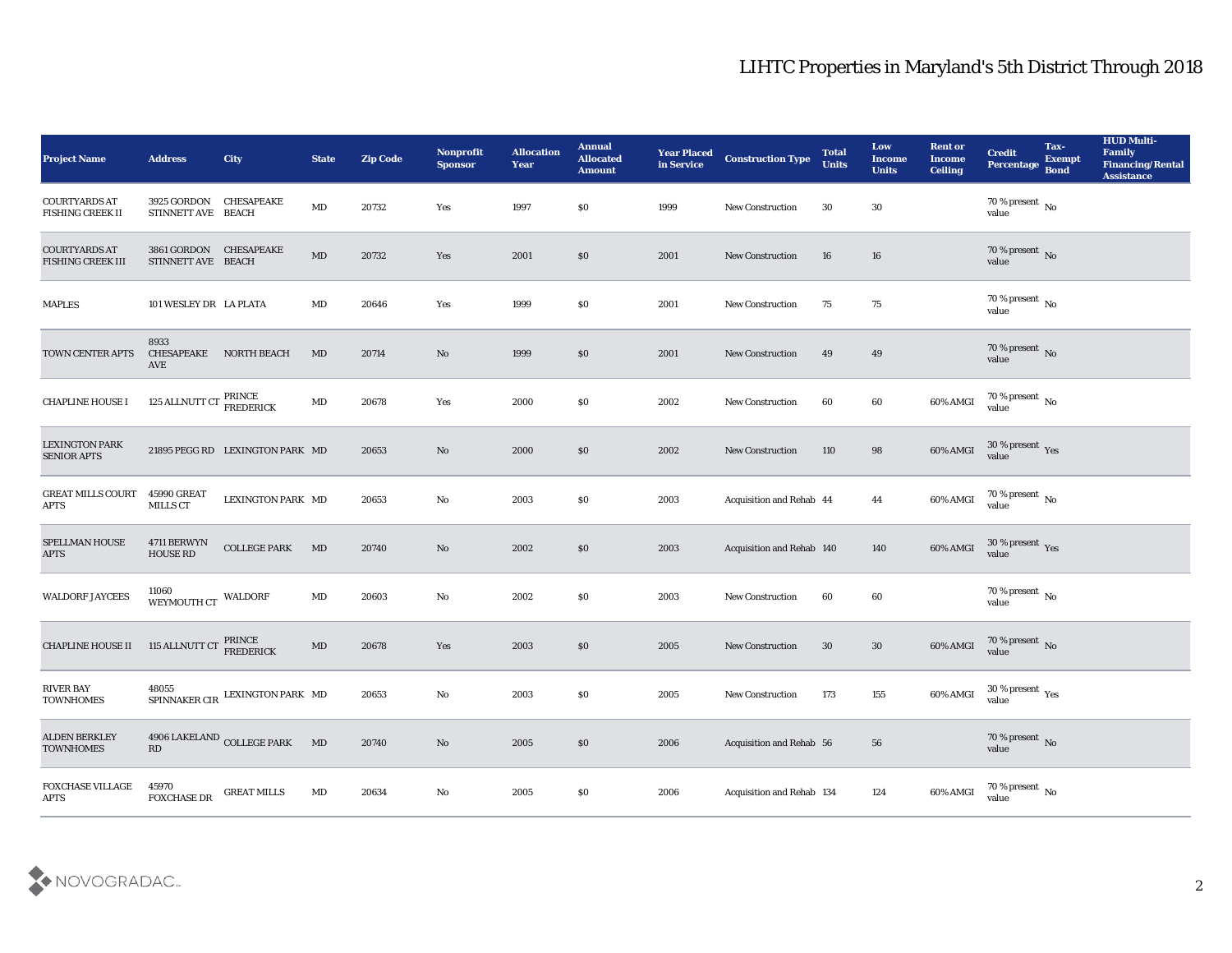## LIHTC Properties in Maryland's 5th District Through 2018

| <b>Project Name</b>                         | <b>Address</b>                                          | <b>City</b>                           | <b>State</b>           | <b>Zip Code</b> | Nonprofit<br><b>Sponsor</b> | <b>Allocation</b><br><b>Year</b> | <b>Annual</b><br><b>Allocated</b><br><b>Amount</b> | <b>Year Placed</b><br>in Service | <b>Construction Type</b>  | <b>Total</b><br><b>Units</b> | Low<br><b>Income</b><br><b>Units</b> | <b>Rent or</b><br><b>Income</b><br><b>Ceiling</b> | <b>Credit</b><br>Percentage              | Tax-<br><b>Exempt</b><br><b>Bond</b> | <b>HUD Multi-</b><br>Family<br><b>Financing/Rental</b><br><b>Assistance</b> |
|---------------------------------------------|---------------------------------------------------------|---------------------------------------|------------------------|-----------------|-----------------------------|----------------------------------|----------------------------------------------------|----------------------------------|---------------------------|------------------------------|--------------------------------------|---------------------------------------------------|------------------------------------------|--------------------------------------|-----------------------------------------------------------------------------|
| <b>COURTYARDS AT</b><br>FISHING CREEK II    | 3925 GORDON<br>STINNETT AVE BEACH                       | <b>CHESAPEAKE</b>                     | $\mathbf{M}\mathbf{D}$ | 20732           | Yes                         | 1997                             | $\$0$                                              | 1999                             | New Construction          | 30                           | 30                                   |                                                   | 70 % present No<br>value                 |                                      |                                                                             |
| <b>COURTYARDS AT</b><br>FISHING CREEK III   | 3861 GORDON CHESAPEAKE<br>STINNETT AVE BEACH            |                                       | MD                     | 20732           | Yes                         | 2001                             | \$0                                                | 2001                             | <b>New Construction</b>   | 16                           | 16                                   |                                                   | $70\,\%$ present $\,$ No $\,$ value      |                                      |                                                                             |
| <b>MAPLES</b>                               | 101 WESLEY DR LA PLATA                                  |                                       | MD                     | 20646           | Yes                         | 1999                             | \$0                                                | 2001                             | <b>New Construction</b>   | 75                           | 75                                   |                                                   | 70 % present $\,$ No $\,$<br>value       |                                      |                                                                             |
| TOWN CENTER APTS                            | 8933<br><b>CHESAPEAKE</b><br>AVE                        | <b>NORTH BEACH</b>                    | <b>MD</b>              | 20714           | No                          | 1999                             | $\$0$                                              | 2001                             | <b>New Construction</b>   | 49                           | 49                                   |                                                   | $70\,\%$ present $\,$ No value           |                                      |                                                                             |
| <b>CHAPLINE HOUSE I</b>                     | 125 ALLNUTT CT $\frac{\text{PRINCE}}{\text{FREDERICK}}$ |                                       | $\rm MD$               | 20678           | Yes                         | 2000                             | \$0                                                | 2002                             | <b>New Construction</b>   | 60                           | 60                                   | 60% AMGI                                          | $70\,\%$ present $\,$ No value           |                                      |                                                                             |
| <b>LEXINGTON PARK</b><br><b>SENIOR APTS</b> |                                                         | 21895 PEGG RD LEXINGTON PARK MD       |                        | 20653           | No                          | 2000                             | \$0                                                | 2002                             | <b>New Construction</b>   | 110                          | 98                                   | 60% AMGI                                          | $30\,\%$ present $\,$ Yes value          |                                      |                                                                             |
| <b>GREAT MILLS COURT</b><br>APTS            | <b>45990 GREAT</b><br><b>MILLS CT</b>                   | LEXINGTON PARK MD                     |                        | 20653           | No                          | 2003                             | $\$0$                                              | 2003                             | Acquisition and Rehab 44  |                              | 44                                   | 60% AMGI                                          | $\frac{70~\%}{value}$ No                 |                                      |                                                                             |
| SPELLMAN HOUSE<br><b>APTS</b>               | 4711 BERWYN<br><b>HOUSE RD</b>                          | <b>COLLEGE PARK</b>                   | MD                     | 20740           | No                          | 2002                             | $\$0$                                              | 2003                             | Acquisition and Rehab 140 |                              | 140                                  | 60% AMGI                                          | $30\,\%$ present $\,$ Yes value          |                                      |                                                                             |
| <b>WALDORF JAYCEES</b>                      | 11060<br>WEYMOUTH CT                                    | <b>WALDORF</b>                        | MD                     | 20603           | No                          | 2002                             | \$0                                                | 2003                             | <b>New Construction</b>   | 60                           | 60                                   |                                                   | $70\,\%$ present $\,$ No value           |                                      |                                                                             |
| <b>CHAPLINE HOUSE II</b>                    | 115 ALLNUTT CT                                          | PRINCE<br>FREDERICK                   | $\rm MD$               | 20678           | Yes                         | 2003                             | \$0                                                | 2005                             | <b>New Construction</b>   | 30                           | 30                                   | 60% AMGI                                          | $70\,\%$ present $\,$ No value           |                                      |                                                                             |
| <b>RIVER BAY</b><br><b>TOWNHOMES</b>        | 48055                                                   | SPINNAKER CIR LEXINGTON PARK MD       |                        | 20653           | No                          | 2003                             | \$0                                                | 2005                             | New Construction          | 173                          | 155                                  | 60% AMGI                                          | 30 % present $\gamma_{\rm e s}$<br>value |                                      |                                                                             |
| <b>ALDEN BERKLEY</b><br><b>TOWNHOMES</b>    | $\mathbf{R}\mathbf{D}$                                  | $4906$ LAKELAND $_{\rm COLLEGE}$ PARK | MD                     | 20740           | $\rm\thinspace No$          | 2005                             | $\$0$                                              | 2006                             | Acquisition and Rehab 56  |                              | ${\bf 56}$                           |                                                   | $70\,\%$ present $\,$ No value           |                                      |                                                                             |
| FOXCHASE VILLAGE<br><b>APTS</b>             | 45970<br>FOXCHASE DR                                    | <b>GREAT MILLS</b>                    | MD                     | 20634           | ${\bf No}$                  | 2005                             | \$0                                                | 2006                             | Acquisition and Rehab 134 |                              | 124                                  | 60% AMGI                                          | 70 % present $\,$ No $\,$<br>value       |                                      |                                                                             |

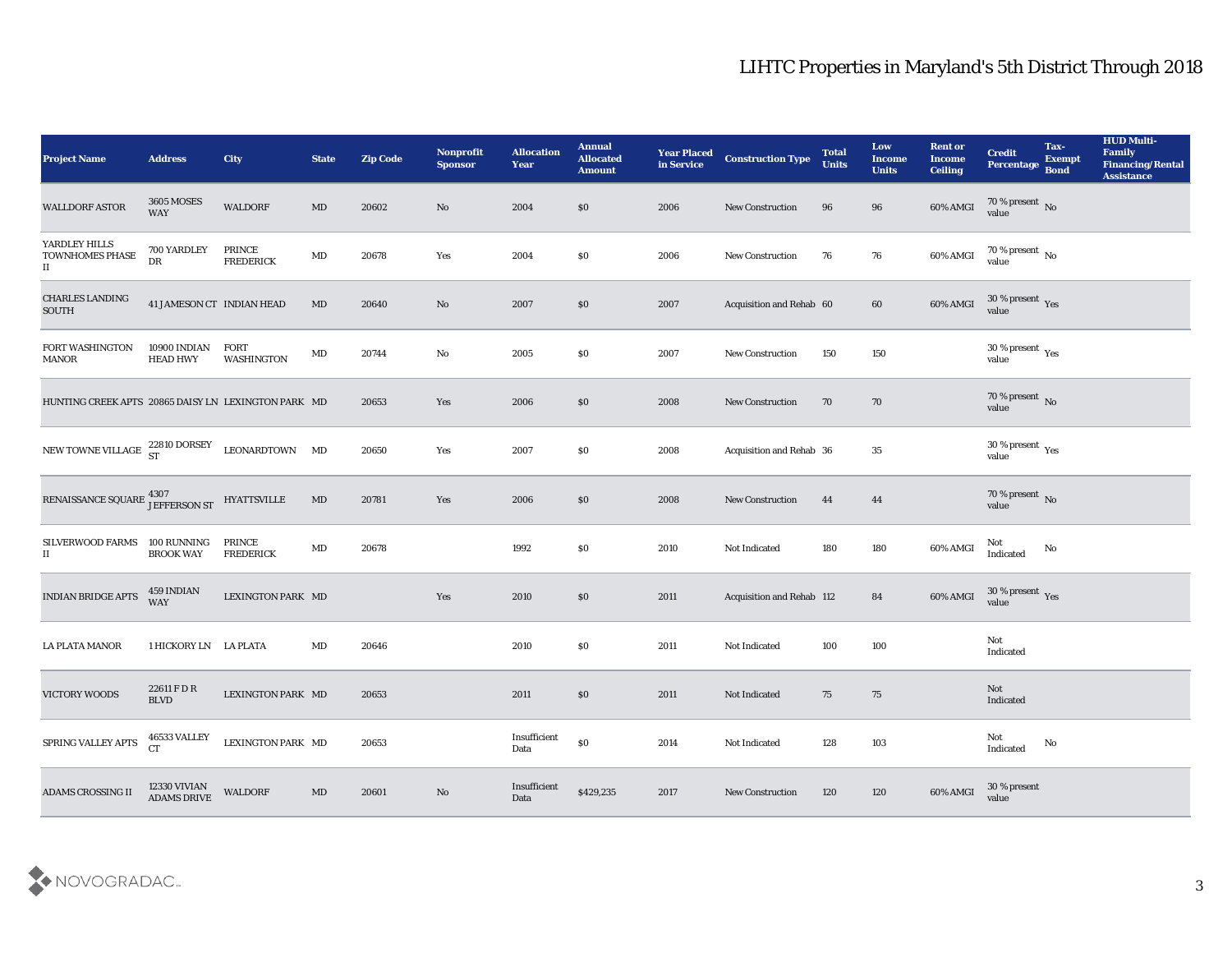| <b>Project Name</b>                                                                                                                   | <b>Address</b>                  | <b>City</b>                | <b>State</b> | <b>Zip Code</b> | <b>Nonprofit</b><br><b>Sponsor</b> | <b>Allocation</b><br><b>Year</b> | <b>Annual</b><br><b>Allocated</b><br><b>Amount</b> | <b>Year Placed</b><br>in Service | <b>Construction Type</b>  | <b>Total</b><br><b>Units</b> | Low<br><b>Income</b><br><b>Units</b> | <b>Rent or</b><br><b>Income</b><br><b>Ceiling</b> | <b>Credit</b><br><b>Percentage</b> | Tax-<br><b>Exempt</b><br><b>Bond</b> | <b>HUD Multi-</b><br>Family<br><b>Financing/Rental</b><br><b>Assistance</b> |
|---------------------------------------------------------------------------------------------------------------------------------------|---------------------------------|----------------------------|--------------|-----------------|------------------------------------|----------------------------------|----------------------------------------------------|----------------------------------|---------------------------|------------------------------|--------------------------------------|---------------------------------------------------|------------------------------------|--------------------------------------|-----------------------------------------------------------------------------|
| <b>WALLDORF ASTOR</b>                                                                                                                 | <b>3605 MOSES</b><br><b>WAY</b> | <b>WALDORF</b>             | MD           | 20602           | No                                 | 2004                             | $\$0$                                              | 2006                             | New Construction          | 96                           | 96                                   | 60% AMGI                                          | 70 % present No<br>value           |                                      |                                                                             |
| YARDLEY HILLS<br>TOWNHOMES PHASE<br>П                                                                                                 | 700 YARDLEY<br>DR               | PRINCE<br><b>FREDERICK</b> | MD           | 20678           | Yes                                | 2004                             | $\$0$                                              | 2006                             | <b>New Construction</b>   | 76                           | 76                                   | 60% AMGI                                          | $70\,\%$ present $\,$ No value     |                                      |                                                                             |
| <b>CHARLES LANDING</b><br><b>SOUTH</b>                                                                                                | 41 JAMESON CT INDIAN HEAD       |                            | MD           | 20640           | $\rm No$                           | 2007                             | \$0\$                                              | 2007                             | Acquisition and Rehab 60  |                              | 60                                   | 60% AMGI                                          | $30\,\%$ present $\,$ Yes value    |                                      |                                                                             |
| FORT WASHINGTON<br><b>MANOR</b>                                                                                                       | 10900 INDIAN<br><b>HEAD HWY</b> | FORT<br><b>WASHINGTON</b>  | MD           | 20744           | No                                 | 2005                             | \$0\$                                              | 2007                             | New Construction          | 150                          | 150                                  |                                                   | $30\,\%$ present $\,$ Yes value    |                                      |                                                                             |
| HUNTING CREEK APTS 20865 DAISY LN LEXINGTON PARK MD                                                                                   |                                 |                            |              | 20653           | Yes                                | 2006                             | \$0\$                                              | 2008                             | <b>New Construction</b>   | 70                           | 70                                   |                                                   | $70\,\%$ present $\,$ No value     |                                      |                                                                             |
| NEW TOWNE VILLAGE 22810 DORSEY                                                                                                        |                                 | LEONARDTOWN MD             |              | 20650           | Yes                                | 2007                             | $\$0$                                              | 2008                             | Acquisition and Rehab 36  |                              | 35                                   |                                                   | $30\,\%$ present $\,$ Yes value    |                                      |                                                                             |
| ${\tt RENAISSANCE\ SQUARE} \begin{array}{ll} 4307 \\ {\tt JEFFERSON\ ST} \end{array} \begin{array}{ll} {\tt HYATTSVILLE} \end{array}$ |                                 |                            | MD           | 20781           | Yes                                | 2006                             | \$0                                                | 2008                             | <b>New Construction</b>   | 44                           | 44                                   |                                                   | $70\,\%$ present $\,$ No value     |                                      |                                                                             |
| SILVERWOOD FARMS 100 RUNNING<br>П                                                                                                     | <b>BROOK WAY</b>                | PRINCE<br><b>FREDERICK</b> | MD           | 20678           |                                    | 1992                             | \$0                                                | 2010                             | Not Indicated             | 180                          | 180                                  | 60% AMGI                                          | Not<br>Indicated                   | No                                   |                                                                             |
| <b>INDIAN BRIDGE APTS</b>                                                                                                             | 459 INDIAN<br><b>WAY</b>        | LEXINGTON PARK MD          |              |                 | Yes                                | 2010                             | \$0\$                                              | 2011                             | Acquisition and Rehab 112 |                              | 84                                   | 60% AMGI                                          | $30\,\%$ present $\,$ Yes value    |                                      |                                                                             |
| LA PLATA MANOR                                                                                                                        | 1 HICKORY LN LA PLATA           |                            | MD           | 20646           |                                    | 2010                             | \$0                                                | 2011                             | <b>Not Indicated</b>      | 100                          | 100                                  |                                                   | Not<br>Indicated                   |                                      |                                                                             |
| <b>VICTORY WOODS</b>                                                                                                                  | 22611 F D R<br><b>BLVD</b>      | LEXINGTON PARK MD          |              | 20653           |                                    | 2011                             | \$0                                                | 2011                             | Not Indicated             | 75                           | 75                                   |                                                   | Not<br>Indicated                   |                                      |                                                                             |
| SPRING VALLEY APTS                                                                                                                    | 46533 VALLEY<br><b>CT</b>       | LEXINGTON PARK MD          |              | 20653           |                                    | Insufficient<br>Data             | $\$0$                                              | 2014                             | Not Indicated             | 128                          | 103                                  |                                                   | Not<br>Indicated                   | No                                   |                                                                             |
| <b>ADAMS CROSSING II</b>                                                                                                              | 12330 VIVIAN<br>ADAMS DRIVE     | <b>WALDORF</b>             | MD           | 20601           | No                                 | Insufficient<br>Data             | \$429,235                                          | 2017                             | <b>New Construction</b>   | 120                          | 120                                  | 60% AMGI                                          | $30\,\%$ present value             |                                      |                                                                             |